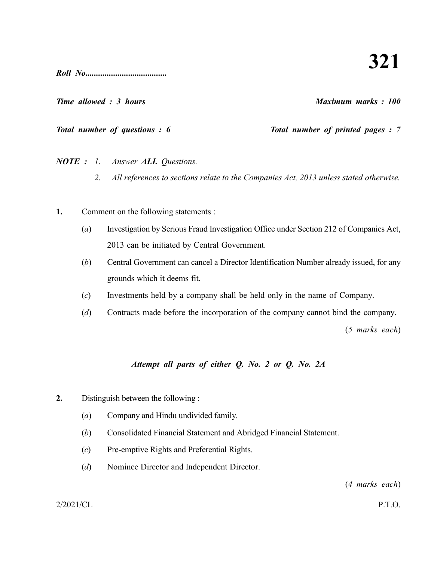*Roll No......................................*

*Time allowed : 3 hours Maximum marks : 100*

*Total number of questions : 6* Total number of printed pages : 7

*NOTE : 1. Answer ALL Questions.*

- *2. All references to sections relate to the Companies Act, 2013 unless stated otherwise.*
- **1.** Comment on the following statements :
	- (*a*) Investigation by Serious Fraud Investigation Office under Section 212 of Companies Act, 2013 can be initiated by Central Government.
	- (*b*) Central Government can cancel a Director Identification Number already issued, for any grounds which it deems fit.
	- (*c*) Investments held by a company shall be held only in the name of Company.
	- (*d*) Contracts made before the incorporation of the company cannot bind the company.

(*5 marks each*)

## *Attempt all parts of either Q. No. 2 or Q. No. 2A*

- **2.** Distinguish between the following :
	- (*a*) Company and Hindu undivided family.
	- (*b*) Consolidated Financial Statement and Abridged Financial Statement.
	- (*c*) Pre-emptive Rights and Preferential Rights.
	- (*d*) Nominee Director and Independent Director.

(*4 marks each*)

2/2021/CL P.T.O.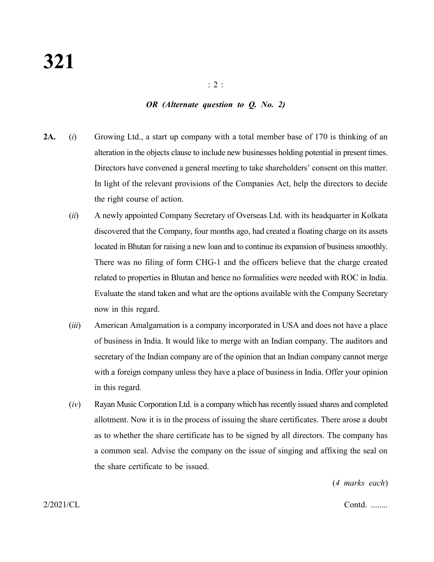#### *OR (Alternate question to Q. No. 2)*

- **2A.** (*i*) Growing Ltd., a start up company with a total member base of 170 is thinking of an alteration in the objects clause to include new businesses holding potential in present times. Directors have convened a general meeting to take shareholders' consent on this matter. In light of the relevant provisions of the Companies Act, help the directors to decide the right course of action.
	- (*ii*) A newly appointed Company Secretary of Overseas Ltd. with its headquarter in Kolkata discovered that the Company, four months ago, had created a floating charge on its assets located in Bhutan for raising a new loan and to continue its expansion of business smoothly. There was no filing of form CHG-1 and the officers believe that the charge created related to properties in Bhutan and hence no formalities were needed with ROC in India. Evaluate the stand taken and what are the options available with the Company Secretary now in this regard.
	- (*iii*) American Amalgamation is a company incorporated in USA and does not have a place of business in India. It would like to merge with an Indian company. The auditors and secretary of the Indian company are of the opinion that an Indian company cannot merge with a foreign company unless they have a place of business in India. Offer your opinion in this regard.
	- (*iv*) Rayan Music Corporation Ltd. is a company which has recently issued shares and completed allotment. Now it is in the process of issuing the share certificates. There arose a doubt as to whether the share certificate has to be signed by all directors. The company has a common seal. Advise the company on the issue of singing and affixing the seal on the share certificate to be issued.

(*4 marks each*)

2/2021/CL Contd. ........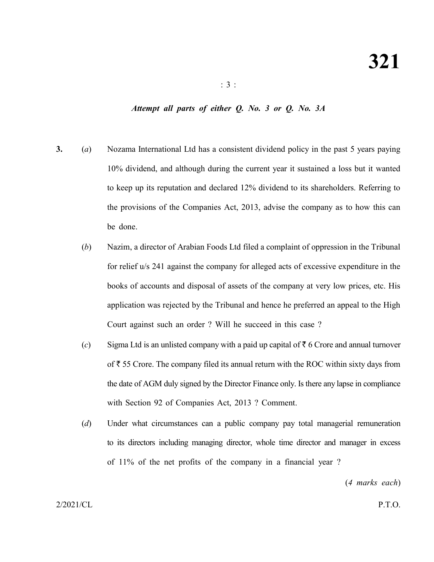#### *Attempt all parts of either Q. No. 3 or Q. No. 3A*

- **3.** (*a*) Nozama International Ltd has a consistent dividend policy in the past 5 years paying 10% dividend, and although during the current year it sustained a loss but it wanted to keep up its reputation and declared 12% dividend to its shareholders. Referring to the provisions of the Companies Act, 2013, advise the company as to how this can be done.
	- (*b*) Nazim, a director of Arabian Foods Ltd filed a complaint of oppression in the Tribunal for relief u/s 241 against the company for alleged acts of excessive expenditure in the books of accounts and disposal of assets of the company at very low prices, etc. His application was rejected by the Tribunal and hence he preferred an appeal to the High Court against such an order ? Will he succeed in this case ?
	- (*c*) Sigma Ltd is an unlisted company with a paid up capital of  $\bar{\tau}$  6 Crore and annual turnover of  $\bar{\tau}$  55 Crore. The company filed its annual return with the ROC within sixty days from the date of AGM duly signed by the Director Finance only. Is there any lapse in compliance with Section 92 of Companies Act, 2013 ? Comment.
	- (*d*) Under what circumstances can a public company pay total managerial remuneration to its directors including managing director, whole time director and manager in excess of 11% of the net profits of the company in a financial year ?

(*4 marks each*)

2/2021/CL P.T.O.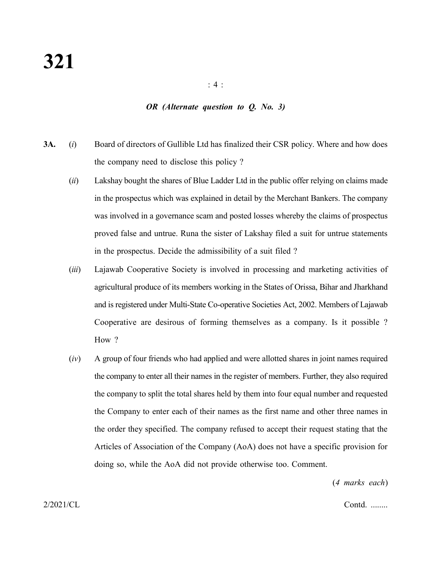: 4 :

### *OR (Alternate question to Q. No. 3)*

- **3A.** (*i*) Board of directors of Gullible Ltd has finalized their CSR policy. Where and how does the company need to disclose this policy ?
	- (*ii*) Lakshay bought the shares of Blue Ladder Ltd in the public offer relying on claims made in the prospectus which was explained in detail by the Merchant Bankers. The company was involved in a governance scam and posted losses whereby the claims of prospectus proved false and untrue. Runa the sister of Lakshay filed a suit for untrue statements in the prospectus. Decide the admissibility of a suit filed ?
	- (*iii*) Lajawab Cooperative Society is involved in processing and marketing activities of agricultural produce of its members working in the States of Orissa, Bihar and Jharkhand and is registered under Multi-State Co-operative Societies Act, 2002. Members of Lajawab Cooperative are desirous of forming themselves as a company. Is it possible ? How ?
	- (*iv*) A group of four friends who had applied and were allotted shares in joint names required the company to enter all their names in the register of members. Further, they also required the company to split the total shares held by them into four equal number and requested the Company to enter each of their names as the first name and other three names in the order they specified. The company refused to accept their request stating that the Articles of Association of the Company (AoA) does not have a specific provision for doing so, while the AoA did not provide otherwise too. Comment.

(*4 marks each*)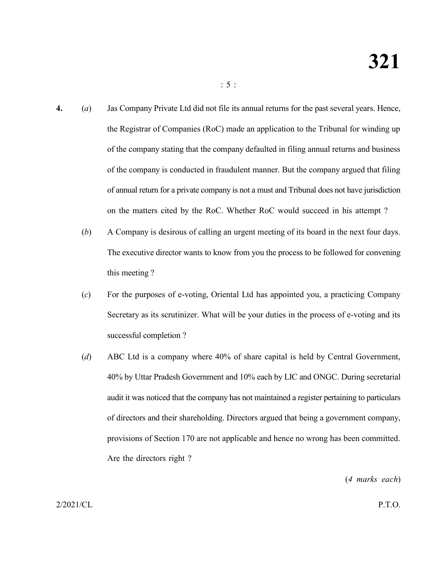- **4.** (*a*) Jas Company Private Ltd did not file its annual returns for the past several years. Hence, the Registrar of Companies (RoC) made an application to the Tribunal for winding up of the company stating that the company defaulted in filing annual returns and business of the company is conducted in fraudulent manner. But the company argued that filing of annual return for a private company is not a must and Tribunal does not have jurisdiction on the matters cited by the RoC. Whether RoC would succeed in his attempt ?
	- (*b*) A Company is desirous of calling an urgent meeting of its board in the next four days. The executive director wants to know from you the process to be followed for convening this meeting ?
	- (*c*) For the purposes of e-voting, Oriental Ltd has appointed you, a practicing Company Secretary as its scrutinizer. What will be your duties in the process of e-voting and its successful completion ?
	- (*d*) ABC Ltd is a company where 40% of share capital is held by Central Government, 40% by Uttar Pradesh Government and 10% each by LIC and ONGC. During secretarial audit it was noticed that the company has not maintained a register pertaining to particulars of directors and their shareholding. Directors argued that being a government company, provisions of Section 170 are not applicable and hence no wrong has been committed. Are the directors right ?

(*4 marks each*)

2/2021/CL P.T.O.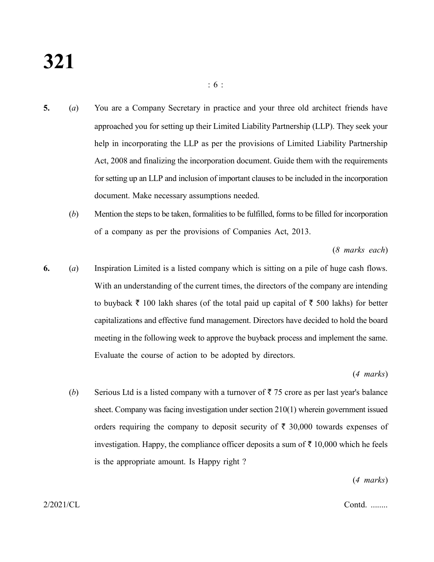# **321**

- **5.** (*a*) You are a Company Secretary in practice and your three old architect friends have approached you for setting up their Limited Liability Partnership (LLP). They seek your help in incorporating the LLP as per the provisions of Limited Liability Partnership Act, 2008 and finalizing the incorporation document. Guide them with the requirements for setting up an LLP and inclusion of important clauses to be included in the incorporation document. Make necessary assumptions needed.
	- (*b*) Mention the steps to be taken, formalities to be fulfilled, forms to be filled for incorporation of a company as per the provisions of Companies Act, 2013.

(*8 marks each*)

**6.** (*a*) Inspiration Limited is a listed company which is sitting on a pile of huge cash flows. With an understanding of the current times, the directors of the company are intending to buyback  $\bar{\tau}$  100 lakh shares (of the total paid up capital of  $\bar{\tau}$  500 lakhs) for better capitalizations and effective fund management. Directors have decided to hold the board meeting in the following week to approve the buyback process and implement the same. Evaluate the course of action to be adopted by directors.

(*4 marks*)

(*b*) Serious Ltd is a listed company with a turnover of  $\bar{\tau}$  75 crore as per last year's balance sheet. Company was facing investigation under section 210(1) wherein government issued orders requiring the company to deposit security of  $\bar{\tau}$  30,000 towards expenses of investigation. Happy, the compliance officer deposits a sum of  $\bar{\tau}$  10,000 which he feels is the appropriate amount. Is Happy right ?

(*4 marks*)